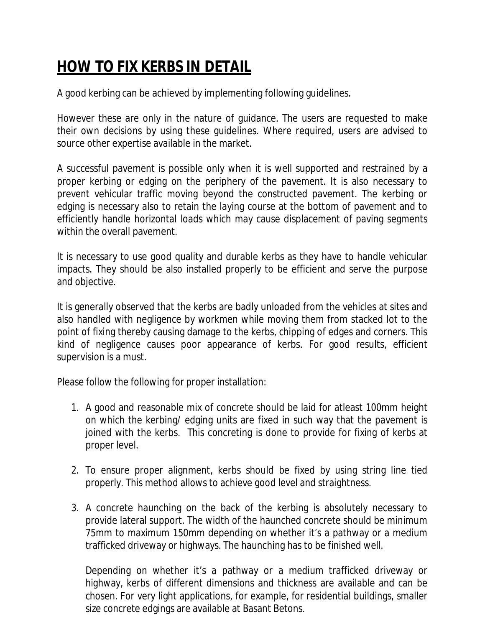## *HOW TO FIX KERBS IN DETAIL*

A good kerbing can be achieved by implementing following guidelines.

However these are only in the nature of guidance. The users are requested to make their own decisions by using these guidelines. Where required, users are advised to source other expertise available in the market.

A successful pavement is possible only when it is well supported and restrained by a proper kerbing or edging on the periphery of the pavement. It is also necessary to prevent vehicular traffic moving beyond the constructed pavement. The kerbing or edging is necessary also to retain the laying course at the bottom of pavement and to efficiently handle horizontal loads which may cause displacement of paving segments within the overall pavement.

It is necessary to use good quality and durable kerbs as they have to handle vehicular impacts. They should be also installed properly to be efficient and serve the purpose and objective.

It is generally observed that the kerbs are badly unloaded from the vehicles at sites and also handled with negligence by workmen while moving them from stacked lot to the point of fixing thereby causing damage to the kerbs, chipping of edges and corners. This kind of negligence causes poor appearance of kerbs. For good results, efficient supervision is a must.

Please follow the following for proper installation:

- 1. A good and reasonable mix of concrete should be laid for atleast 100mm height on which the kerbing/ edging units are fixed in such way that the pavement is joined with the kerbs. This concreting is done to provide for fixing of kerbs at proper level.
- 2. To ensure proper alignment, kerbs should be fixed by using string line tied properly. This method allows to achieve good level and straightness.
- 3. A concrete haunching on the back of the kerbing is absolutely necessary to provide lateral support. The width of the haunched concrete should be minimum 75mm to maximum 150mm depending on whether it's a pathway or a medium trafficked driveway or highways. The haunching has to be finished well.

Depending on whether it's a pathway or a medium trafficked driveway or highway, kerbs of different dimensions and thickness are available and can be chosen. For very light applications, for example, for residential buildings, smaller size concrete edgings are available at Basant Betons.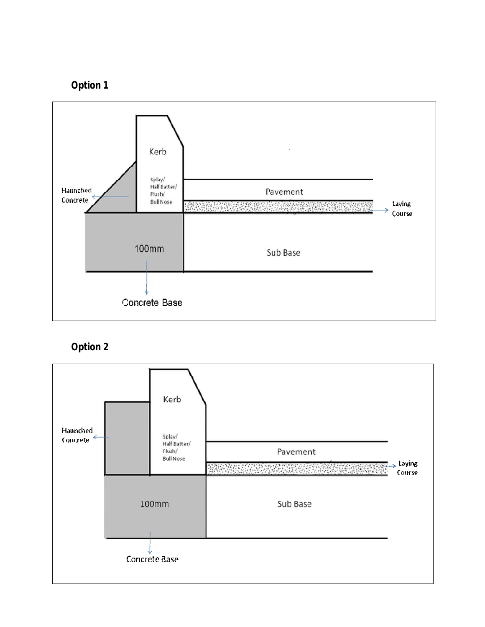



## **Option 2**